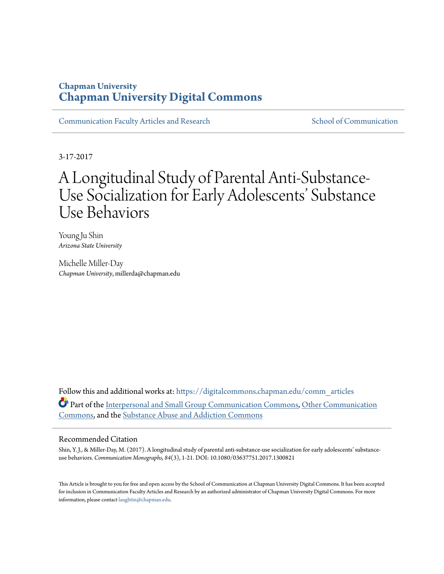### **Chapman University [Chapman University Digital Commons](https://digitalcommons.chapman.edu?utm_source=digitalcommons.chapman.edu%2Fcomm_articles%2F42&utm_medium=PDF&utm_campaign=PDFCoverPages)**

[Communication Faculty Articles and Research](https://digitalcommons.chapman.edu/comm_articles?utm_source=digitalcommons.chapman.edu%2Fcomm_articles%2F42&utm_medium=PDF&utm_campaign=PDFCoverPages) [School of Communication](https://digitalcommons.chapman.edu/communication?utm_source=digitalcommons.chapman.edu%2Fcomm_articles%2F42&utm_medium=PDF&utm_campaign=PDFCoverPages)

3-17-2017

# A Longitudinal Study of Parental Anti-Substance-Use Socialization for Early Adolescents' Substance Use Behaviors

Young Ju Shin *Arizona State University*

Michelle Miller-Day *Chapman University*, millerda@chapman.edu

Follow this and additional works at: [https://digitalcommons.chapman.edu/comm\\_articles](https://digitalcommons.chapman.edu/comm_articles?utm_source=digitalcommons.chapman.edu%2Fcomm_articles%2F42&utm_medium=PDF&utm_campaign=PDFCoverPages) Part of the [Interpersonal and Small Group Communication Commons,](http://network.bepress.com/hgg/discipline/332?utm_source=digitalcommons.chapman.edu%2Fcomm_articles%2F42&utm_medium=PDF&utm_campaign=PDFCoverPages) [Other Communication](http://network.bepress.com/hgg/discipline/339?utm_source=digitalcommons.chapman.edu%2Fcomm_articles%2F42&utm_medium=PDF&utm_campaign=PDFCoverPages) [Commons,](http://network.bepress.com/hgg/discipline/339?utm_source=digitalcommons.chapman.edu%2Fcomm_articles%2F42&utm_medium=PDF&utm_campaign=PDFCoverPages) and the [Substance Abuse and Addiction Commons](http://network.bepress.com/hgg/discipline/710?utm_source=digitalcommons.chapman.edu%2Fcomm_articles%2F42&utm_medium=PDF&utm_campaign=PDFCoverPages)

#### Recommended Citation

Shin, Y. J., & Miller-Day, M. (2017). A longitudinal study of parental anti-substance-use socialization for early adolescents' substanceuse behaviors. *Communication Monographs, 84*(3), 1-21. DOI: 10.1080/03637751.2017.1300821

This Article is brought to you for free and open access by the School of Communication at Chapman University Digital Commons. It has been accepted for inclusion in Communication Faculty Articles and Research by an authorized administrator of Chapman University Digital Commons. For more information, please contact [laughtin@chapman.edu](mailto:laughtin@chapman.edu).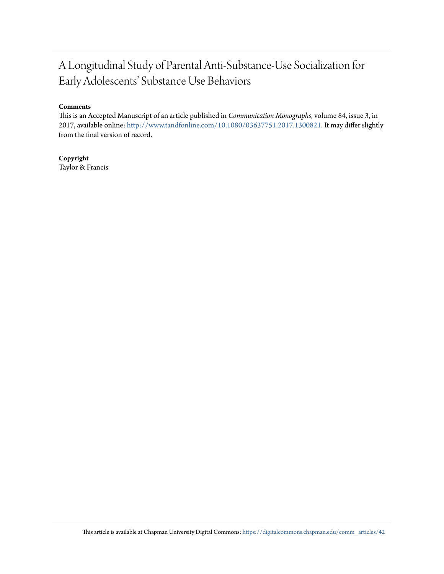## A Longitudinal Study of Parental Anti-Substance-Use Socialization for Early Adolescents' Substance Use Behaviors

#### **Comments**

This is an Accepted Manuscript of an article published in *Communication Monographs*, volume 84, issue 3, in 2017, available online: <http://www.tandfonline.com/10.1080/03637751.2017.1300821>. It may differ slightly from the final version of record.

**Copyright** Taylor & Francis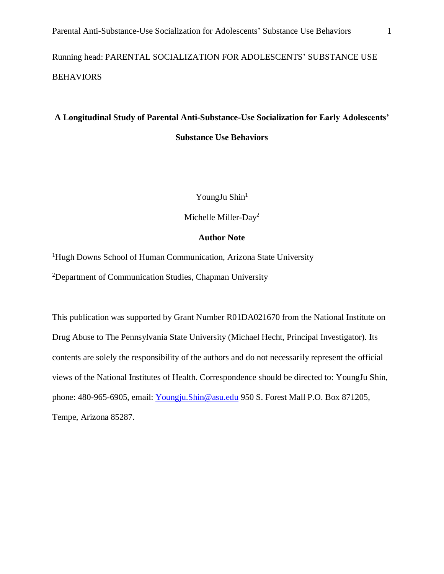Running head: PARENTAL SOCIALIZATION FOR ADOLESCENTS' SUBSTANCE USE BEHAVIORS

### **A Longitudinal Study of Parental Anti-Substance-Use Socialization for Early Adolescents' Substance Use Behaviors**

YoungJu Shin<sup>1</sup>

Michelle Miller-Day<sup>2</sup>

#### **Author Note**

<sup>1</sup>Hugh Downs School of Human Communication, Arizona State University <sup>2</sup>Department of Communication Studies, Chapman University

This publication was supported by Grant Number R01DA021670 from the National Institute on Drug Abuse to The Pennsylvania State University (Michael Hecht, Principal Investigator). Its contents are solely the responsibility of the authors and do not necessarily represent the official views of the National Institutes of Health. Correspondence should be directed to: YoungJu Shin, phone: 480-965-6905, email: [Youngju.Shin@asu.edu](mailto:Youngju.Shin@asu.edu) 950 S. Forest Mall P.O. Box 871205, Tempe, Arizona 85287.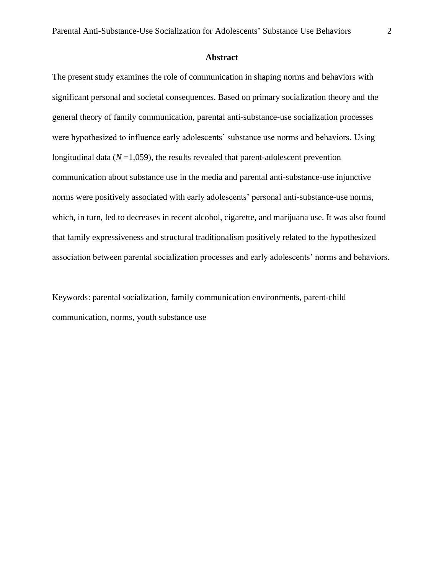#### **Abstract**

The present study examines the role of communication in shaping norms and behaviors with significant personal and societal consequences. Based on primary socialization theory and the general theory of family communication, parental anti-substance-use socialization processes were hypothesized to influence early adolescents' substance use norms and behaviors. Using longitudinal data  $(N=1,059)$ , the results revealed that parent-adolescent prevention communication about substance use in the media and parental anti-substance-use injunctive norms were positively associated with early adolescents' personal anti-substance-use norms, which, in turn, led to decreases in recent alcohol, cigarette, and marijuana use. It was also found that family expressiveness and structural traditionalism positively related to the hypothesized association between parental socialization processes and early adolescents' norms and behaviors.

Keywords: parental socialization, family communication environments, parent-child communication, norms, youth substance use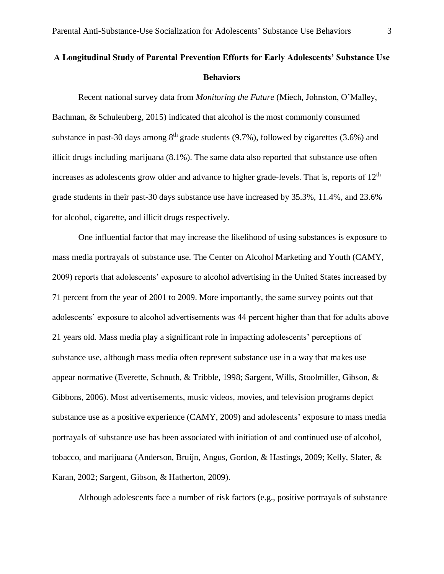### **A Longitudinal Study of Parental Prevention Efforts for Early Adolescents' Substance Use Behaviors**

Recent national survey data from *Monitoring the Future* (Miech, Johnston, O'Malley, Bachman, & Schulenberg, 2015) indicated that alcohol is the most commonly consumed substance in past-30 days among  $8<sup>th</sup>$  grade students (9.7%), followed by cigarettes (3.6%) and illicit drugs including marijuana (8.1%). The same data also reported that substance use often increases as adolescents grow older and advance to higher grade-levels. That is, reports of 12<sup>th</sup> grade students in their past-30 days substance use have increased by 35.3%, 11.4%, and 23.6% for alcohol, cigarette, and illicit drugs respectively.

One influential factor that may increase the likelihood of using substances is exposure to mass media portrayals of substance use. The Center on Alcohol Marketing and Youth (CAMY, 2009) reports that adolescents' exposure to alcohol advertising in the United States increased by 71 percent from the year of 2001 to 2009. More importantly, the same survey points out that adolescents' exposure to alcohol advertisements was 44 percent higher than that for adults above 21 years old. Mass media play a significant role in impacting adolescents' perceptions of substance use, although mass media often represent substance use in a way that makes use appear normative (Everette, Schnuth, & Tribble, 1998; Sargent, Wills, Stoolmiller, Gibson, & Gibbons, 2006). Most advertisements, music videos, movies, and television programs depict substance use as a positive experience (CAMY, 2009) and adolescents' exposure to mass media portrayals of substance use has been associated with initiation of and continued use of alcohol, tobacco, and marijuana (Anderson, Bruijn, Angus, Gordon, & Hastings, 2009; Kelly, Slater, & Karan, 2002; Sargent, Gibson, & Hatherton, 2009).

Although adolescents face a number of risk factors (e.g., positive portrayals of substance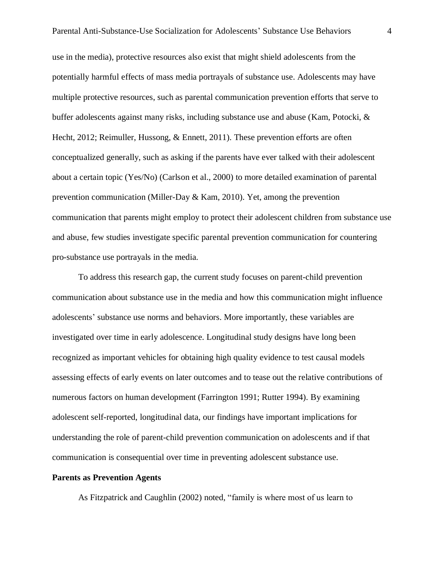use in the media), protective resources also exist that might shield adolescents from the potentially harmful effects of mass media portrayals of substance use. Adolescents may have multiple protective resources, such as parental communication prevention efforts that serve to buffer adolescents against many risks, including substance use and abuse (Kam, Potocki, & Hecht, 2012; Reimuller, Hussong, & Ennett, 2011). These prevention efforts are often conceptualized generally, such as asking if the parents have ever talked with their adolescent about a certain topic (Yes/No) (Carlson et al., 2000) to more detailed examination of parental prevention communication (Miller-Day & Kam, 2010). Yet, among the prevention communication that parents might employ to protect their adolescent children from substance use and abuse, few studies investigate specific parental prevention communication for countering pro-substance use portrayals in the media.

To address this research gap, the current study focuses on parent-child prevention communication about substance use in the media and how this communication might influence adolescents' substance use norms and behaviors. More importantly, these variables are investigated over time in early adolescence. Longitudinal study designs have long been recognized as important vehicles for obtaining high quality evidence to test causal models assessing effects of early events on later outcomes and to tease out the relative contributions of numerous factors on human development (Farrington 1991; Rutter 1994). By examining adolescent self-reported, longitudinal data, our findings have important implications for understanding the role of parent-child prevention communication on adolescents and if that communication is consequential over time in preventing adolescent substance use.

#### **Parents as Prevention Agents**

As Fitzpatrick and Caughlin (2002) noted, "family is where most of us learn to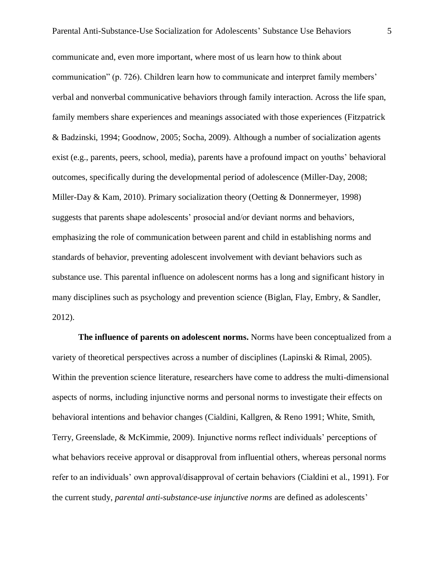communicate and, even more important, where most of us learn how to think about communication" (p. 726). Children learn how to communicate and interpret family members' verbal and nonverbal communicative behaviors through family interaction. Across the life span, family members share experiences and meanings associated with those experiences (Fitzpatrick & Badzinski, 1994; Goodnow, 2005; Socha, 2009). Although a number of socialization agents exist (e.g., parents, peers, school, media), parents have a profound impact on youths' behavioral outcomes, specifically during the developmental period of adolescence (Miller-Day, 2008; Miller-Day & Kam, 2010). Primary socialization theory (Oetting & Donnermeyer, 1998) suggests that parents shape adolescents' prosocial and/or deviant norms and behaviors, emphasizing the role of communication between parent and child in establishing norms and standards of behavior, preventing adolescent involvement with deviant behaviors such as substance use. This parental influence on adolescent norms has a long and significant history in many disciplines such as psychology and prevention science (Biglan, Flay, Embry, & Sandler, 2012).

**The influence of parents on adolescent norms.** Norms have been conceptualized from a variety of theoretical perspectives across a number of disciplines (Lapinski & Rimal, 2005). Within the prevention science literature, researchers have come to address the multi-dimensional aspects of norms, including injunctive norms and personal norms to investigate their effects on behavioral intentions and behavior changes (Cialdini, Kallgren, & Reno 1991; White, Smith, Terry, Greenslade, & McKimmie, 2009). Injunctive norms reflect individuals' perceptions of what behaviors receive approval or disapproval from influential others, whereas personal norms refer to an individuals' own approval/disapproval of certain behaviors (Cialdini et al., 1991). For the current study, *parental anti-substance-use injunctive norms* are defined as adolescents'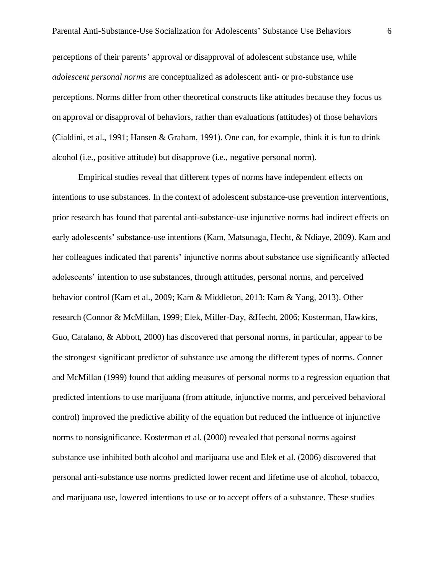perceptions of their parents' approval or disapproval of adolescent substance use, while *adolescent personal norms* are conceptualized as adolescent anti- or pro-substance use perceptions. Norms differ from other theoretical constructs like attitudes because they focus us on approval or disapproval of behaviors, rather than evaluations (attitudes) of those behaviors (Cialdini, et al., 1991; Hansen & Graham, 1991). One can, for example, think it is fun to drink alcohol (i.e., positive attitude) but disapprove (i.e., negative personal norm).

Empirical studies reveal that different types of norms have independent effects on intentions to use substances. In the context of adolescent substance-use prevention interventions, prior research has found that parental anti-substance-use injunctive norms had indirect effects on early adolescents' substance-use intentions (Kam, Matsunaga, Hecht, & Ndiaye, 2009). Kam and her colleagues indicated that parents' injunctive norms about substance use significantly affected adolescents' intention to use substances, through attitudes, personal norms, and perceived behavior control (Kam et al., 2009; Kam & Middleton, 2013; Kam & Yang, 2013). Other research (Connor & McMillan, 1999; Elek, Miller-Day, &Hecht, 2006; Kosterman, Hawkins, Guo, Catalano, & Abbott, 2000) has discovered that personal norms, in particular, appear to be the strongest significant predictor of substance use among the different types of norms. Conner and McMillan (1999) found that adding measures of personal norms to a regression equation that predicted intentions to use marijuana (from attitude, injunctive norms, and perceived behavioral control) improved the predictive ability of the equation but reduced the influence of injunctive norms to nonsignificance. Kosterman et al. (2000) revealed that personal norms against substance use inhibited both alcohol and marijuana use and Elek et al. (2006) discovered that personal anti-substance use norms predicted lower recent and lifetime use of alcohol, tobacco, and marijuana use, lowered intentions to use or to accept offers of a substance. These studies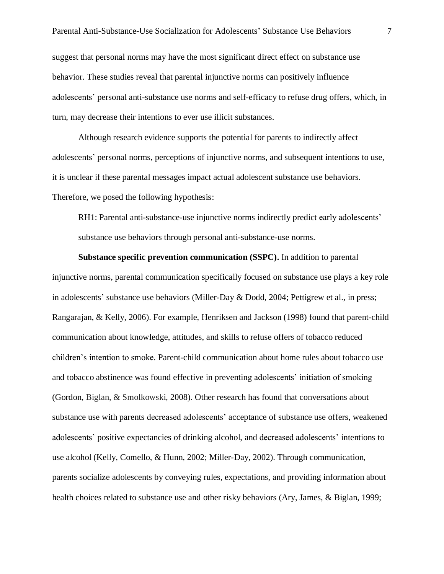Parental Anti-Substance-Use Socialization for Adolescents' Substance Use Behaviors 7 suggest that personal norms may have the most significant direct effect on substance use behavior. These studies reveal that parental injunctive norms can positively influence adolescents' personal anti-substance use norms and self-efficacy to refuse drug offers, which, in turn, may decrease their intentions to ever use illicit substances.

Although research evidence supports the potential for parents to indirectly affect adolescents' personal norms, perceptions of injunctive norms, and subsequent intentions to use, it is unclear if these parental messages impact actual adolescent substance use behaviors. Therefore, we posed the following hypothesis:

RH1: Parental anti-substance-use injunctive norms indirectly predict early adolescents' substance use behaviors through personal anti-substance-use norms.

**Substance specific prevention communication (SSPC).** In addition to parental injunctive norms, parental communication specifically focused on substance use plays a key role in adolescents' substance use behaviors (Miller-Day & Dodd, 2004; Pettigrew et al., in press; Rangarajan, & Kelly, 2006). For example, Henriksen and Jackson (1998) found that parent-child communication about knowledge, attitudes, and skills to refuse offers of tobacco reduced children's intention to smoke. Parent-child communication about home rules about tobacco use and tobacco abstinence was found effective in preventing adolescents' initiation of smoking (Gordon, Biglan, & Smolkowski, 2008). Other research has found that conversations about substance use with parents decreased adolescents' acceptance of substance use offers, weakened adolescents' positive expectancies of drinking alcohol, and decreased adolescents' intentions to use alcohol (Kelly, Comello, & Hunn, 2002; Miller-Day, 2002). Through communication, parents socialize adolescents by conveying rules, expectations, and providing information about health choices related to substance use and other risky behaviors (Ary, James, & Biglan, 1999;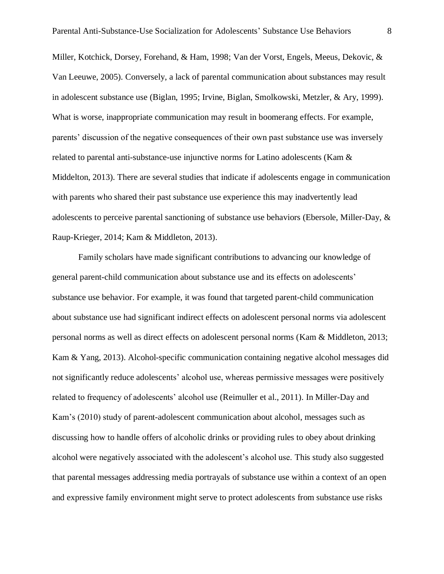Miller, Kotchick, Dorsey, Forehand, & Ham, 1998; Van der Vorst, Engels, Meeus, Dekovic, & Van Leeuwe, 2005). Conversely, a lack of parental communication about substances may result in adolescent substance use (Biglan, 1995; Irvine, Biglan, Smolkowski, Metzler, & Ary, 1999). What is worse, inappropriate communication may result in boomerang effects. For example, parents' discussion of the negative consequences of their own past substance use was inversely related to parental anti-substance-use injunctive norms for Latino adolescents (Kam & Middelton, 2013). There are several studies that indicate if adolescents engage in communication with parents who shared their past substance use experience this may inadvertently lead adolescents to perceive parental sanctioning of substance use behaviors (Ebersole, Miller-Day, & Raup-Krieger, 2014; Kam & Middleton, 2013).

Family scholars have made significant contributions to advancing our knowledge of general parent-child communication about substance use and its effects on adolescents' substance use behavior. For example, it was found that targeted parent-child communication about substance use had significant indirect effects on adolescent personal norms via adolescent personal norms as well as direct effects on adolescent personal norms (Kam & Middleton, 2013; Kam & Yang, 2013). Alcohol-specific communication containing negative alcohol messages did not significantly reduce adolescents' alcohol use, whereas permissive messages were positively related to frequency of adolescents' alcohol use (Reimuller et al., 2011). In Miller-Day and Kam's (2010) study of parent-adolescent communication about alcohol, messages such as discussing how to handle offers of alcoholic drinks or providing rules to obey about drinking alcohol were negatively associated with the adolescent's alcohol use. This study also suggested that parental messages addressing media portrayals of substance use within a context of an open and expressive family environment might serve to protect adolescents from substance use risks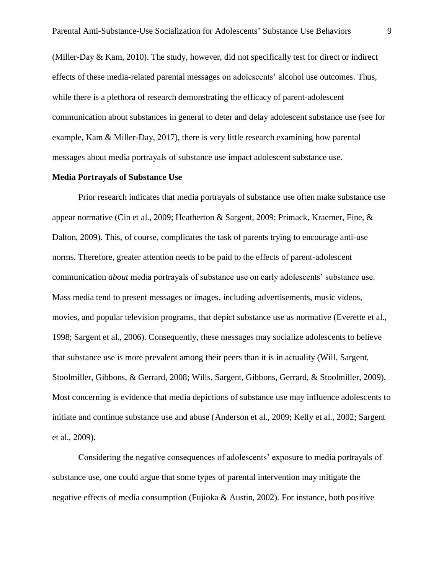(Miller-Day & Kam, 2010). The study, however, did not specifically test for direct or indirect effects of these media-related parental messages on adolescents' alcohol use outcomes. Thus, while there is a plethora of research demonstrating the efficacy of parent-adolescent communication about substances in general to deter and delay adolescent substance use (see for example, Kam & Miller-Day, 2017), there is very little research examining how parental messages about media portrayals of substance use impact adolescent substance use.

#### **Media Portrayals of Substance Use**

Prior research indicates that media portrayals of substance use often make substance use appear normative (Cin et al., 2009; Heatherton & Sargent, 2009; Primack, Kraemer, Fine, & Dalton, 2009). This, of course, complicates the task of parents trying to encourage anti-use norms. Therefore, greater attention needs to be paid to the effects of parent-adolescent communication *about* media portrayals of substance use on early adolescents' substance use. Mass media tend to present messages or images, including advertisements, music videos, movies, and popular television programs, that depict substance use as normative (Everette et al., 1998; Sargent et al., 2006). Consequently, these messages may socialize adolescents to believe that substance use is more prevalent among their peers than it is in actuality (Will, Sargent, Stoolmiller, Gibbons, & Gerrard, 2008; Wills, Sargent, Gibbons, Gerrard, & Stoolmiller, 2009). Most concerning is evidence that media depictions of substance use may influence adolescents to initiate and continue substance use and abuse (Anderson et al., 2009; Kelly et al., 2002; Sargent et al., 2009).

Considering the negative consequences of adolescents' exposure to media portrayals of substance use, one could argue that some types of parental intervention may mitigate the negative effects of media consumption (Fujioka & Austin, 2002). For instance, both positive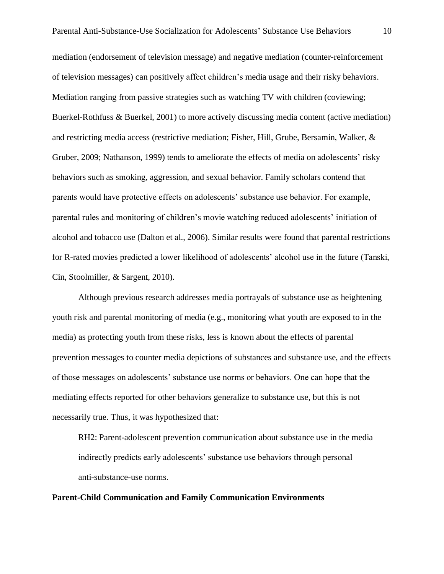mediation (endorsement of television message) and negative mediation (counter-reinforcement of television messages) can positively affect children's media usage and their risky behaviors. Mediation ranging from passive strategies such as watching TV with children (coviewing; Buerkel-Rothfuss & Buerkel, 2001) to more actively discussing media content (active mediation) and restricting media access (restrictive mediation; Fisher, Hill, Grube, Bersamin, Walker, & Gruber, 2009; Nathanson, 1999) tends to ameliorate the effects of media on adolescents' risky behaviors such as smoking, aggression, and sexual behavior. Family scholars contend that parents would have protective effects on adolescents' substance use behavior. For example, parental rules and monitoring of children's movie watching reduced adolescents' initiation of alcohol and tobacco use (Dalton et al., 2006). Similar results were found that parental restrictions for R-rated movies predicted a lower likelihood of adolescents' alcohol use in the future (Tanski, Cin, Stoolmiller, & Sargent, 2010).

Although previous research addresses media portrayals of substance use as heightening youth risk and parental monitoring of media (e.g., monitoring what youth are exposed to in the media) as protecting youth from these risks, less is known about the effects of parental prevention messages to counter media depictions of substances and substance use, and the effects of those messages on adolescents' substance use norms or behaviors. One can hope that the mediating effects reported for other behaviors generalize to substance use, but this is not necessarily true. Thus, it was hypothesized that:

RH2: Parent-adolescent prevention communication about substance use in the media indirectly predicts early adolescents' substance use behaviors through personal anti-substance-use norms.

#### **Parent-Child Communication and Family Communication Environments**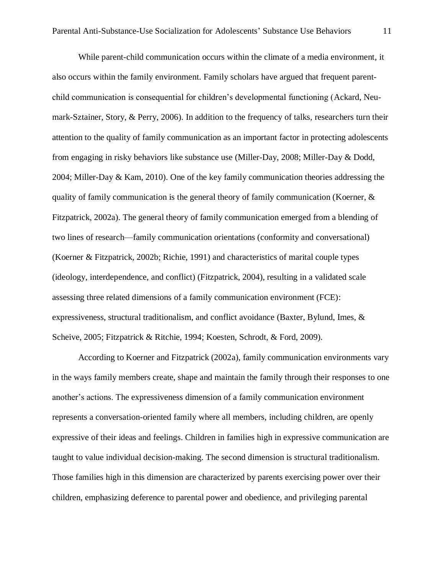While parent-child communication occurs within the climate of a media environment, it also occurs within the family environment. Family scholars have argued that frequent parentchild communication is consequential for children's developmental functioning (Ackard, Neumark-Sztainer, Story, & Perry, 2006). In addition to the frequency of talks, researchers turn their attention to the quality of family communication as an important factor in protecting adolescents from engaging in risky behaviors like substance use (Miller-Day, 2008; Miller-Day & Dodd, 2004; Miller-Day & Kam, 2010). One of the key family communication theories addressing the quality of family communication is the general theory of family communication (Koerner,  $\&$ Fitzpatrick, 2002a). The general theory of family communication emerged from a blending of two lines of research—family communication orientations (conformity and conversational) (Koerner & Fitzpatrick, 2002b; Richie, 1991) and characteristics of marital couple types (ideology, interdependence, and conflict) (Fitzpatrick, 2004), resulting in a validated scale assessing three related dimensions of a family communication environment (FCE): expressiveness, structural traditionalism, and conflict avoidance (Baxter, Bylund, Imes, & Scheive, 2005; Fitzpatrick & Ritchie, 1994; Koesten, Schrodt, & Ford, 2009).

According to Koerner and Fitzpatrick (2002a), family communication environments vary in the ways family members create, shape and maintain the family through their responses to one another's actions. The expressiveness dimension of a family communication environment represents a conversation-oriented family where all members, including children, are openly expressive of their ideas and feelings. Children in families high in expressive communication are taught to value individual decision-making. The second dimension is structural traditionalism. Those families high in this dimension are characterized by parents exercising power over their children, emphasizing deference to parental power and obedience, and privileging parental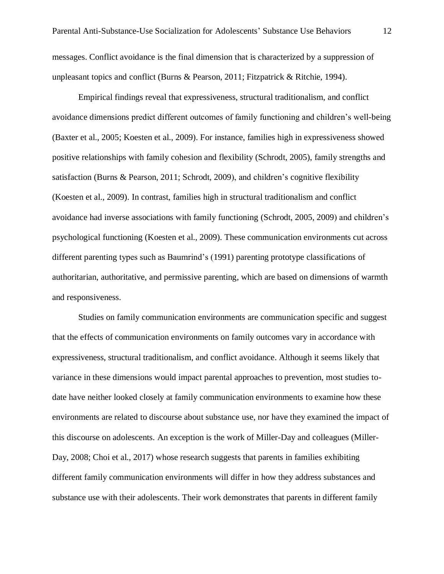Empirical findings reveal that expressiveness, structural traditionalism, and conflict avoidance dimensions predict different outcomes of family functioning and children's well-being (Baxter et al., 2005; Koesten et al., 2009). For instance, families high in expressiveness showed positive relationships with family cohesion and flexibility (Schrodt, 2005), family strengths and satisfaction (Burns & Pearson, 2011; Schrodt, 2009), and children's cognitive flexibility (Koesten et al., 2009). In contrast, families high in structural traditionalism and conflict avoidance had inverse associations with family functioning (Schrodt, 2005, 2009) and children's psychological functioning (Koesten et al., 2009). These communication environments cut across different parenting types such as Baumrind's (1991) parenting prototype classifications of authoritarian, authoritative, and permissive parenting, which are based on dimensions of warmth and responsiveness.

Studies on family communication environments are communication specific and suggest that the effects of communication environments on family outcomes vary in accordance with expressiveness, structural traditionalism, and conflict avoidance. Although it seems likely that variance in these dimensions would impact parental approaches to prevention, most studies todate have neither looked closely at family communication environments to examine how these environments are related to discourse about substance use, nor have they examined the impact of this discourse on adolescents. An exception is the work of Miller-Day and colleagues (Miller-Day, 2008; Choi et al., 2017) whose research suggests that parents in families exhibiting different family communication environments will differ in how they address substances and substance use with their adolescents. Their work demonstrates that parents in different family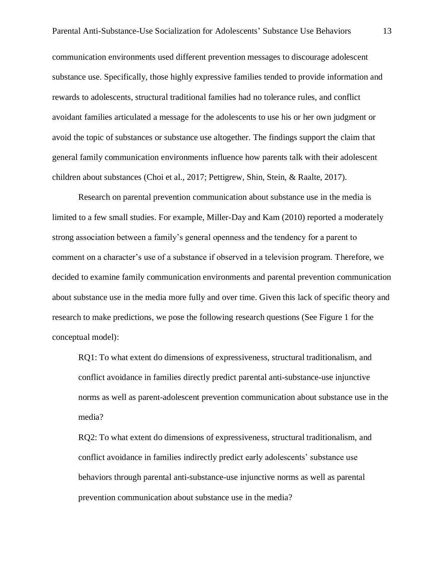communication environments used different prevention messages to discourage adolescent substance use. Specifically, those highly expressive families tended to provide information and rewards to adolescents, structural traditional families had no tolerance rules, and conflict avoidant families articulated a message for the adolescents to use his or her own judgment or avoid the topic of substances or substance use altogether. The findings support the claim that general family communication environments influence how parents talk with their adolescent children about substances (Choi et al., 2017; Pettigrew, Shin, Stein, & Raalte, 2017).

Research on parental prevention communication about substance use in the media is limited to a few small studies. For example, Miller-Day and Kam (2010) reported a moderately strong association between a family's general openness and the tendency for a parent to comment on a character's use of a substance if observed in a television program. Therefore, we decided to examine family communication environments and parental prevention communication about substance use in the media more fully and over time. Given this lack of specific theory and research to make predictions, we pose the following research questions (See Figure 1 for the conceptual model):

RQ1: To what extent do dimensions of expressiveness, structural traditionalism, and conflict avoidance in families directly predict parental anti-substance-use injunctive norms as well as parent-adolescent prevention communication about substance use in the media?

RQ2: To what extent do dimensions of expressiveness, structural traditionalism, and conflict avoidance in families indirectly predict early adolescents' substance use behaviors through parental anti-substance-use injunctive norms as well as parental prevention communication about substance use in the media?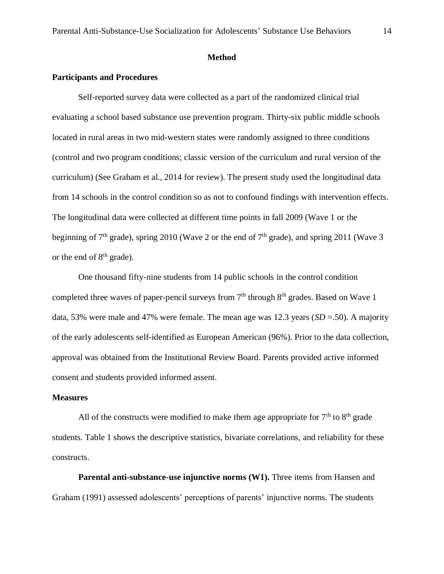#### **Method**

#### **Participants and Procedures**

Self-reported survey data were collected as a part of the randomized clinical trial evaluating a school based substance use prevention program. Thirty-six public middle schools located in rural areas in two mid-western states were randomly assigned to three conditions (control and two program conditions; classic version of the curriculum and rural version of the curriculum) (See Graham et al., 2014 for review). The present study used the longitudinal data from 14 schools in the control condition so as not to confound findings with intervention effects. The longitudinal data were collected at different time points in fall 2009 (Wave 1 or the beginning of  $7<sup>th</sup>$  grade), spring 2010 (Wave 2 or the end of  $7<sup>th</sup>$  grade), and spring 2011 (Wave 3 or the end of  $8<sup>th</sup>$  grade).

One thousand fifty-nine students from 14 public schools in the control condition completed three waves of paper-pencil surveys from  $7<sup>th</sup>$  through  $8<sup>th</sup>$  grades. Based on Wave 1 data, 53% were male and 47% were female. The mean age was 12.3 years (*SD* =.50). A majority of the early adolescents self-identified as European American (96%). Prior to the data collection, approval was obtained from the Institutional Review Board. Parents provided active informed consent and students provided informed assent.

#### **Measures**

All of the constructs were modified to make them age appropriate for  $7<sup>th</sup>$  to  $8<sup>th</sup>$  grade students. Table 1 shows the descriptive statistics, bivariate correlations, and reliability for these constructs.

**Parental anti-substance-use injunctive norms (W1).** Three items from Hansen and Graham (1991) assessed adolescents' perceptions of parents' injunctive norms. The students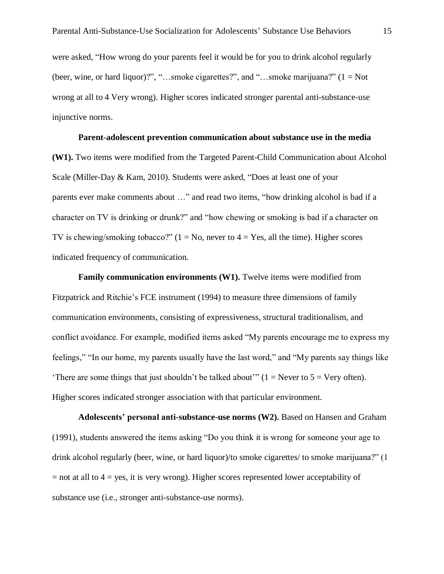were asked, "How wrong do your parents feel it would be for you to drink alcohol regularly (beer, wine, or hard liquor)?", "...smoke cigarettes?", and "...smoke marijuana?"  $(1 = Not$ wrong at all to 4 Very wrong). Higher scores indicated stronger parental anti-substance-use injunctive norms.

#### **Parent-adolescent prevention communication about substance use in the media**

**(W1).** Two items were modified from the Targeted Parent-Child Communication about Alcohol Scale (Miller-Day & Kam, 2010). Students were asked, "Does at least one of your parents ever make comments about …" and read two items, "how drinking alcohol is bad if a character on TV is drinking or drunk?" and "how chewing or smoking is bad if a character on TV is chewing/smoking tobacco?"  $(1 = No$ , never to  $4 = Yes$ , all the time). Higher scores indicated frequency of communication.

**Family communication environments (W1).** Twelve items were modified from Fitzpatrick and Ritchie's FCE instrument (1994) to measure three dimensions of family communication environments, consisting of expressiveness, structural traditionalism, and conflict avoidance. For example, modified items asked "My parents encourage me to express my feelings," "In our home, my parents usually have the last word," and "My parents say things like 'There are some things that just shouldn't be talked about'"  $(1 =$  Never to  $5 =$  Very often). Higher scores indicated stronger association with that particular environment.

**Adolescents' personal anti-substance-use norms (W2).** Based on Hansen and Graham (1991), students answered the items asking "Do you think it is wrong for someone your age to drink alcohol regularly (beer, wine, or hard liquor)/to smoke cigarettes/ to smoke marijuana?" (1  $=$  not at all to  $4 =$  yes, it is very wrong). Higher scores represented lower acceptability of substance use (i.e., stronger anti-substance-use norms).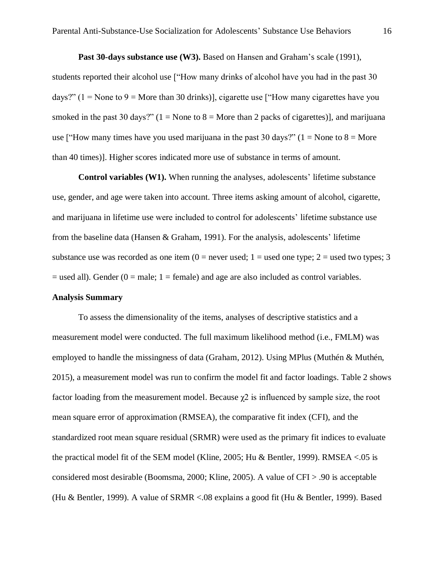**Past 30-days substance use (W3).** Based on Hansen and Graham's scale (1991), students reported their alcohol use ["How many drinks of alcohol have you had in the past 30 days?" (1 = None to 9 = More than 30 drinks)], cigarette use ["How many cigarettes have you smoked in the past 30 days?"  $(1 = \text{None to } 8 = \text{More than } 2 \text{ packs of eigenettes})$ , and marijuana use ["How many times have you used marijuana in the past 30 days?" ( $1 =$  None to  $8 =$  More than 40 times)]. Higher scores indicated more use of substance in terms of amount.

**Control variables (W1).** When running the analyses, adolescents' lifetime substance use, gender, and age were taken into account. Three items asking amount of alcohol, cigarette, and marijuana in lifetime use were included to control for adolescents' lifetime substance use from the baseline data (Hansen & Graham, 1991). For the analysis, adolescents' lifetime substance use was recorded as one item  $(0 =$  never used;  $1 =$  used one type;  $2 =$  used two types; 3  $=$  used all). Gender (0  $=$  male; 1  $=$  female) and age are also included as control variables.

#### **Analysis Summary**

To assess the dimensionality of the items, analyses of descriptive statistics and a measurement model were conducted. The full maximum likelihood method (i.e., FMLM) was employed to handle the missingness of data (Graham, 2012). Using MPlus (Muthén & Muthén, 2015), a measurement model was run to confirm the model fit and factor loadings. Table 2 shows factor loading from the measurement model. Because  $\chi$ 2 is influenced by sample size, the root mean square error of approximation (RMSEA), the comparative fit index (CFI), and the standardized root mean square residual (SRMR) were used as the primary fit indices to evaluate the practical model fit of the SEM model (Kline, 2005; Hu & Bentler, 1999). RMSEA <.05 is considered most desirable (Boomsma, 2000; Kline, 2005). A value of CFI > .90 is acceptable (Hu & Bentler, 1999). A value of SRMR <.08 explains a good fit (Hu & Bentler, 1999). Based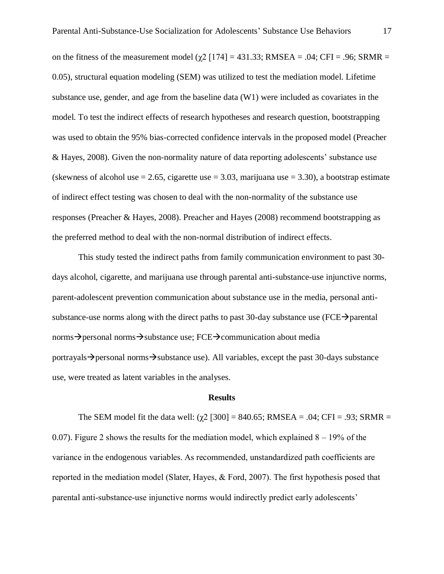on the fitness of the measurement model ( $\gamma$ 2 [174] = 431.33; RMSEA = .04; CFI = .96; SRMR = 0.05), structural equation modeling (SEM) was utilized to test the mediation model. Lifetime substance use, gender, and age from the baseline data (W1) were included as covariates in the model. To test the indirect effects of research hypotheses and research question, bootstrapping was used to obtain the 95% bias-corrected confidence intervals in the proposed model (Preacher & Hayes, 2008). Given the non-normality nature of data reporting adolescents' substance use (skewness of alcohol use  $= 2.65$ , cigarette use  $= 3.03$ , marijuana use  $= 3.30$ ), a bootstrap estimate of indirect effect testing was chosen to deal with the non-normality of the substance use responses (Preacher & Hayes, 2008). Preacher and Hayes (2008) recommend bootstrapping as the preferred method to deal with the non-normal distribution of indirect effects.

This study tested the indirect paths from family communication environment to past 30 days alcohol, cigarette, and marijuana use through parental anti-substance-use injunctive norms, parent-adolescent prevention communication about substance use in the media, personal antisubstance-use norms along with the direct paths to past 30-day substance use ( $FCE\rightarrow$  parental norms $\rightarrow$  personal norms $\rightarrow$ substance use; FCE $\rightarrow$ communication about media portrayals  $\rightarrow$  personal norms  $\rightarrow$  substance use). All variables, except the past 30-days substance use, were treated as latent variables in the analyses.

#### **Results**

The SEM model fit the data well:  $(\gamma 2 \mid 300] = 840.65$ ; RMSEA = .04; CFI = .93; SRMR = 0.07). Figure 2 shows the results for the mediation model, which explained  $8 - 19\%$  of the variance in the endogenous variables. As recommended, unstandardized path coefficients are reported in the mediation model (Slater, Hayes, & Ford, 2007). The first hypothesis posed that parental anti-substance-use injunctive norms would indirectly predict early adolescents'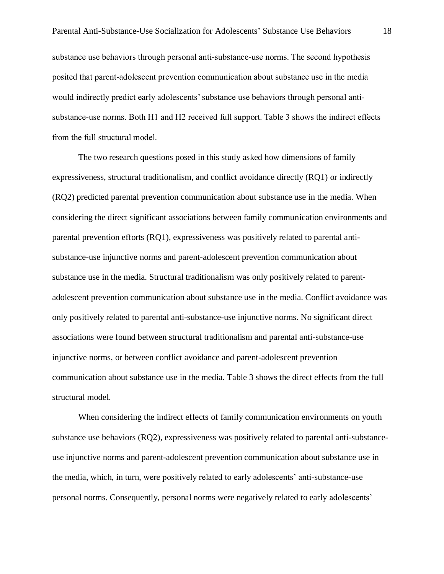substance use behaviors through personal anti-substance-use norms. The second hypothesis posited that parent-adolescent prevention communication about substance use in the media would indirectly predict early adolescents' substance use behaviors through personal antisubstance-use norms. Both H1 and H2 received full support. Table 3 shows the indirect effects from the full structural model.

The two research questions posed in this study asked how dimensions of family expressiveness, structural traditionalism, and conflict avoidance directly (RQ1) or indirectly (RQ2) predicted parental prevention communication about substance use in the media. When considering the direct significant associations between family communication environments and parental prevention efforts (RQ1), expressiveness was positively related to parental antisubstance-use injunctive norms and parent-adolescent prevention communication about substance use in the media. Structural traditionalism was only positively related to parentadolescent prevention communication about substance use in the media. Conflict avoidance was only positively related to parental anti-substance-use injunctive norms. No significant direct associations were found between structural traditionalism and parental anti-substance-use injunctive norms, or between conflict avoidance and parent-adolescent prevention communication about substance use in the media. Table 3 shows the direct effects from the full structural model.

When considering the indirect effects of family communication environments on youth substance use behaviors (RQ2), expressiveness was positively related to parental anti-substanceuse injunctive norms and parent-adolescent prevention communication about substance use in the media, which, in turn, were positively related to early adolescents' anti-substance-use personal norms. Consequently, personal norms were negatively related to early adolescents'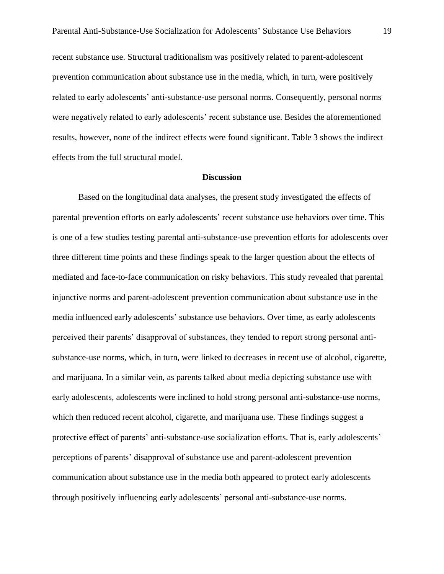recent substance use. Structural traditionalism was positively related to parent-adolescent prevention communication about substance use in the media, which, in turn, were positively related to early adolescents' anti-substance-use personal norms. Consequently, personal norms were negatively related to early adolescents' recent substance use. Besides the aforementioned results, however, none of the indirect effects were found significant. Table 3 shows the indirect effects from the full structural model.

#### **Discussion**

Based on the longitudinal data analyses, the present study investigated the effects of parental prevention efforts on early adolescents' recent substance use behaviors over time. This is one of a few studies testing parental anti-substance-use prevention efforts for adolescents over three different time points and these findings speak to the larger question about the effects of mediated and face-to-face communication on risky behaviors. This study revealed that parental injunctive norms and parent-adolescent prevention communication about substance use in the media influenced early adolescents' substance use behaviors. Over time, as early adolescents perceived their parents' disapproval of substances, they tended to report strong personal antisubstance-use norms, which, in turn, were linked to decreases in recent use of alcohol, cigarette, and marijuana. In a similar vein, as parents talked about media depicting substance use with early adolescents, adolescents were inclined to hold strong personal anti-substance-use norms, which then reduced recent alcohol, cigarette, and marijuana use. These findings suggest a protective effect of parents' anti-substance-use socialization efforts. That is, early adolescents' perceptions of parents' disapproval of substance use and parent-adolescent prevention communication about substance use in the media both appeared to protect early adolescents through positively influencing early adolescents' personal anti-substance-use norms.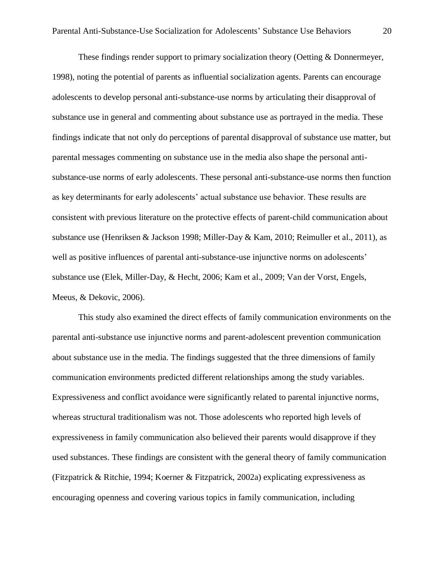These findings render support to primary socialization theory (Oetting & Donnermeyer, 1998), noting the potential of parents as influential socialization agents. Parents can encourage adolescents to develop personal anti-substance-use norms by articulating their disapproval of substance use in general and commenting about substance use as portrayed in the media. These findings indicate that not only do perceptions of parental disapproval of substance use matter, but parental messages commenting on substance use in the media also shape the personal antisubstance-use norms of early adolescents. These personal anti-substance-use norms then function as key determinants for early adolescents' actual substance use behavior. These results are consistent with previous literature on the protective effects of parent-child communication about substance use (Henriksen & Jackson 1998; Miller-Day & Kam, 2010; Reimuller et al., 2011), as well as positive influences of parental anti-substance-use injunctive norms on adolescents' substance use (Elek, Miller-Day, & Hecht, 2006; Kam et al., 2009; Van der Vorst, Engels, Meeus, & Dekovic, 2006).

This study also examined the direct effects of family communication environments on the parental anti-substance use injunctive norms and parent-adolescent prevention communication about substance use in the media. The findings suggested that the three dimensions of family communication environments predicted different relationships among the study variables. Expressiveness and conflict avoidance were significantly related to parental injunctive norms, whereas structural traditionalism was not. Those adolescents who reported high levels of expressiveness in family communication also believed their parents would disapprove if they used substances. These findings are consistent with the general theory of family communication (Fitzpatrick & Ritchie, 1994; Koerner & Fitzpatrick, 2002a) explicating expressiveness as encouraging openness and covering various topics in family communication, including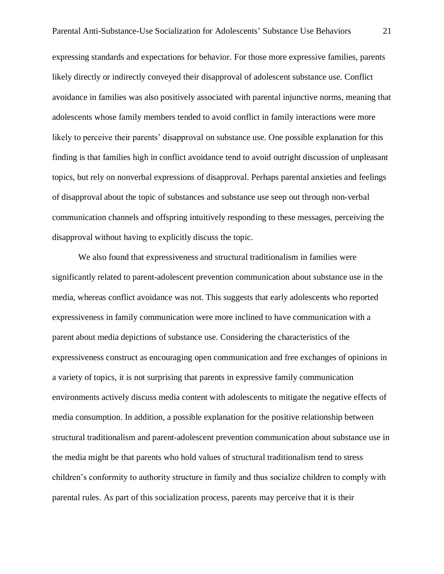expressing standards and expectations for behavior. For those more expressive families, parents likely directly or indirectly conveyed their disapproval of adolescent substance use. Conflict avoidance in families was also positively associated with parental injunctive norms, meaning that adolescents whose family members tended to avoid conflict in family interactions were more likely to perceive their parents' disapproval on substance use. One possible explanation for this finding is that families high in conflict avoidance tend to avoid outright discussion of unpleasant topics, but rely on nonverbal expressions of disapproval. Perhaps parental anxieties and feelings of disapproval about the topic of substances and substance use seep out through non-verbal communication channels and offspring intuitively responding to these messages, perceiving the disapproval without having to explicitly discuss the topic.

We also found that expressiveness and structural traditionalism in families were significantly related to parent-adolescent prevention communication about substance use in the media, whereas conflict avoidance was not. This suggests that early adolescents who reported expressiveness in family communication were more inclined to have communication with a parent about media depictions of substance use. Considering the characteristics of the expressiveness construct as encouraging open communication and free exchanges of opinions in a variety of topics, it is not surprising that parents in expressive family communication environments actively discuss media content with adolescents to mitigate the negative effects of media consumption. In addition, a possible explanation for the positive relationship between structural traditionalism and parent-adolescent prevention communication about substance use in the media might be that parents who hold values of structural traditionalism tend to stress children's conformity to authority structure in family and thus socialize children to comply with parental rules. As part of this socialization process, parents may perceive that it is their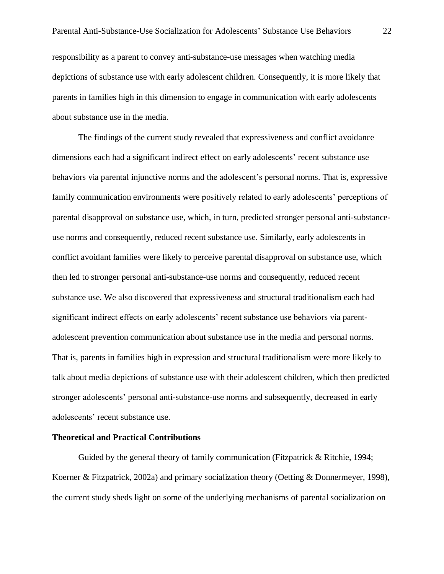responsibility as a parent to convey anti-substance-use messages when watching media depictions of substance use with early adolescent children. Consequently, it is more likely that parents in families high in this dimension to engage in communication with early adolescents about substance use in the media.

The findings of the current study revealed that expressiveness and conflict avoidance dimensions each had a significant indirect effect on early adolescents' recent substance use behaviors via parental injunctive norms and the adolescent's personal norms. That is, expressive family communication environments were positively related to early adolescents' perceptions of parental disapproval on substance use, which, in turn, predicted stronger personal anti-substanceuse norms and consequently, reduced recent substance use. Similarly, early adolescents in conflict avoidant families were likely to perceive parental disapproval on substance use, which then led to stronger personal anti-substance-use norms and consequently, reduced recent substance use. We also discovered that expressiveness and structural traditionalism each had significant indirect effects on early adolescents' recent substance use behaviors via parentadolescent prevention communication about substance use in the media and personal norms. That is, parents in families high in expression and structural traditionalism were more likely to talk about media depictions of substance use with their adolescent children, which then predicted stronger adolescents' personal anti-substance-use norms and subsequently, decreased in early adolescents' recent substance use.

#### **Theoretical and Practical Contributions**

Guided by the general theory of family communication (Fitzpatrick & Ritchie, 1994; Koerner & Fitzpatrick, 2002a) and primary socialization theory (Oetting & Donnermeyer, 1998), the current study sheds light on some of the underlying mechanisms of parental socialization on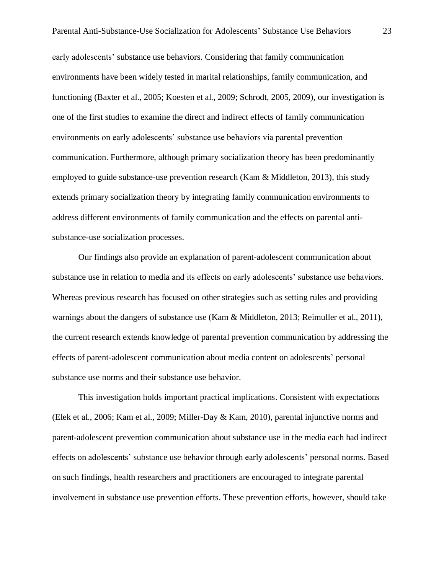early adolescents' substance use behaviors. Considering that family communication environments have been widely tested in marital relationships, family communication, and functioning (Baxter et al., 2005; Koesten et al., 2009; Schrodt, 2005, 2009), our investigation is one of the first studies to examine the direct and indirect effects of family communication environments on early adolescents' substance use behaviors via parental prevention communication. Furthermore, although primary socialization theory has been predominantly employed to guide substance-use prevention research (Kam  $\&$  Middleton, 2013), this study extends primary socialization theory by integrating family communication environments to address different environments of family communication and the effects on parental antisubstance-use socialization processes.

Our findings also provide an explanation of parent-adolescent communication about substance use in relation to media and its effects on early adolescents' substance use behaviors. Whereas previous research has focused on other strategies such as setting rules and providing warnings about the dangers of substance use (Kam & Middleton, 2013; Reimuller et al., 2011), the current research extends knowledge of parental prevention communication by addressing the effects of parent-adolescent communication about media content on adolescents' personal substance use norms and their substance use behavior.

This investigation holds important practical implications. Consistent with expectations (Elek et al., 2006; Kam et al., 2009; Miller-Day & Kam, 2010), parental injunctive norms and parent-adolescent prevention communication about substance use in the media each had indirect effects on adolescents' substance use behavior through early adolescents' personal norms. Based on such findings, health researchers and practitioners are encouraged to integrate parental involvement in substance use prevention efforts. These prevention efforts, however, should take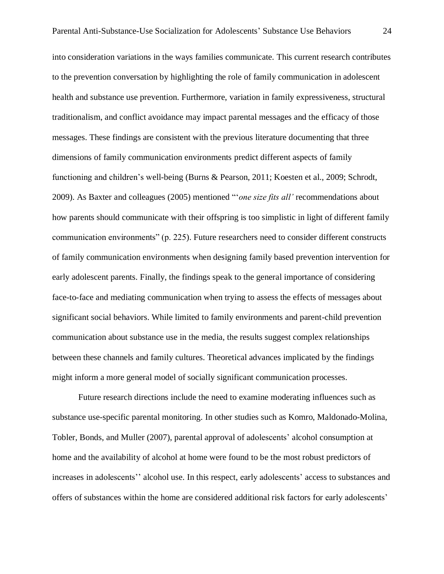into consideration variations in the ways families communicate. This current research contributes to the prevention conversation by highlighting the role of family communication in adolescent health and substance use prevention. Furthermore, variation in family expressiveness, structural traditionalism, and conflict avoidance may impact parental messages and the efficacy of those messages. These findings are consistent with the previous literature documenting that three dimensions of family communication environments predict different aspects of family functioning and children's well-being (Burns & Pearson, 2011; Koesten et al., 2009; Schrodt, 2009). As Baxter and colleagues (2005) mentioned "'*one size fits all'* recommendations about how parents should communicate with their offspring is too simplistic in light of different family communication environments" (p. 225). Future researchers need to consider different constructs of family communication environments when designing family based prevention intervention for early adolescent parents. Finally, the findings speak to the general importance of considering face-to-face and mediating communication when trying to assess the effects of messages about significant social behaviors. While limited to family environments and parent-child prevention communication about substance use in the media, the results suggest complex relationships between these channels and family cultures. Theoretical advances implicated by the findings might inform a more general model of socially significant communication processes.

Future research directions include the need to examine moderating influences such as substance use-specific parental monitoring. In other studies such as Komro, Maldonado-Molina, Tobler, Bonds, and Muller (2007), parental approval of adolescents' alcohol consumption at home and the availability of alcohol at home were found to be the most robust predictors of increases in adolescents'' alcohol use. In this respect, early adolescents' access to substances and offers of substances within the home are considered additional risk factors for early adolescents'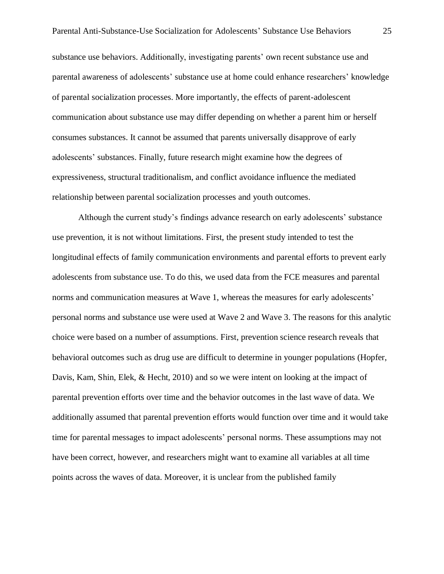substance use behaviors. Additionally, investigating parents' own recent substance use and parental awareness of adolescents' substance use at home could enhance researchers' knowledge of parental socialization processes. More importantly, the effects of parent-adolescent communication about substance use may differ depending on whether a parent him or herself consumes substances. It cannot be assumed that parents universally disapprove of early adolescents' substances. Finally, future research might examine how the degrees of expressiveness, structural traditionalism, and conflict avoidance influence the mediated relationship between parental socialization processes and youth outcomes.

Although the current study's findings advance research on early adolescents' substance use prevention, it is not without limitations. First, the present study intended to test the longitudinal effects of family communication environments and parental efforts to prevent early adolescents from substance use. To do this, we used data from the FCE measures and parental norms and communication measures at Wave 1, whereas the measures for early adolescents' personal norms and substance use were used at Wave 2 and Wave 3. The reasons for this analytic choice were based on a number of assumptions. First, prevention science research reveals that behavioral outcomes such as drug use are difficult to determine in younger populations (Hopfer, Davis, Kam, Shin, Elek, & Hecht, 2010) and so we were intent on looking at the impact of parental prevention efforts over time and the behavior outcomes in the last wave of data. We additionally assumed that parental prevention efforts would function over time and it would take time for parental messages to impact adolescents' personal norms. These assumptions may not have been correct, however, and researchers might want to examine all variables at all time points across the waves of data. Moreover, it is unclear from the published family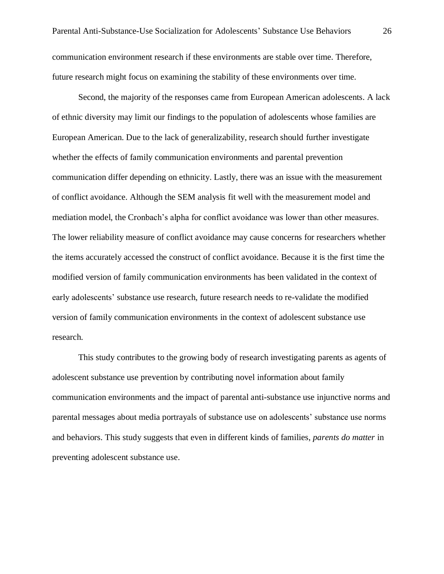Second, the majority of the responses came from European American adolescents. A lack of ethnic diversity may limit our findings to the population of adolescents whose families are European American. Due to the lack of generalizability, research should further investigate whether the effects of family communication environments and parental prevention communication differ depending on ethnicity. Lastly, there was an issue with the measurement of conflict avoidance. Although the SEM analysis fit well with the measurement model and mediation model, the Cronbach's alpha for conflict avoidance was lower than other measures. The lower reliability measure of conflict avoidance may cause concerns for researchers whether the items accurately accessed the construct of conflict avoidance. Because it is the first time the modified version of family communication environments has been validated in the context of early adolescents' substance use research, future research needs to re-validate the modified version of family communication environments in the context of adolescent substance use research.

This study contributes to the growing body of research investigating parents as agents of adolescent substance use prevention by contributing novel information about family communication environments and the impact of parental anti-substance use injunctive norms and parental messages about media portrayals of substance use on adolescents' substance use norms and behaviors. This study suggests that even in different kinds of families, *parents do matter* in preventing adolescent substance use.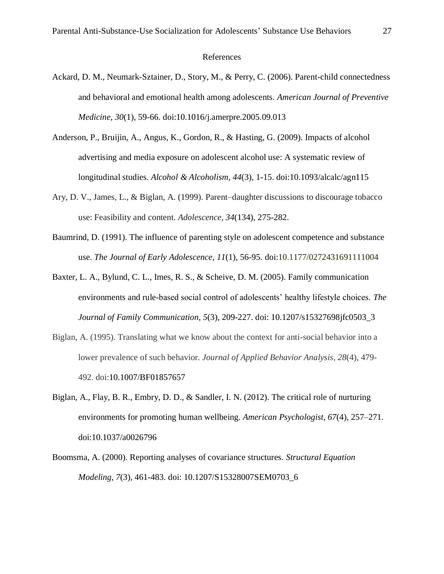#### References

- Ackard, D. M., Neumark-Sztainer, D., Story, M., & Perry, C. (2006). Parent-child connectedness and behavioral and emotional health among adolescents. *American Journal of Preventive Medicine*, *30*(1), 59-66. doi:10.1016/j.amerpre.2005.09.013
- Anderson, P., Bruijin, A., Angus, K., Gordon, R., & Hasting, G. (2009). Impacts of alcohol advertising and media exposure on adolescent alcohol use: A systematic review of longitudinal studies. *Alcohol & Alcoholism*, *44*(3), 1-15. doi:10.1093/alcalc/agn115
- Ary, D. V., James, L., & Biglan, A. (1999). Parent–daughter discussions to discourage tobacco use: Feasibility and content. *Adolescence*, *34*(134), 275-282.
- Baumrind, D. (1991). The influence of parenting style on adolescent competence and substance use. *The Journal of Early Adolescence*, *11*(1), 56-95. doi:10.1177/0272431691111004
- Baxter, L. A., Bylund, C. L., Imes, R. S., & Scheive, D. M. (2005). Family communication environments and rule-based social control of adolescents' healthy lifestyle choices. *The Journal of Family Communication*, *5*(3), 209-227. doi: 10.1207/s15327698jfc0503\_3
- Biglan, A. (1995). Translating what we know about the context for anti-social behavior into a lower prevalence of such behavior. *Journal of Applied Behavior Analysis*, *28*(4), 479- 492. doi:10.1007/BF01857657
- Biglan, A., Flay, B. R., Embry, D. D., & Sandler, I. N. (2012). The critical role of nurturing environments for promoting human wellbeing. *American Psychologist*, *67*(4), 257–271. doi:10.1037/a0026796
- Boomsma, A. (2000). Reporting analyses of covariance structures. *Structural Equation Modeling*, *7*(3), 461-483. doi: 10.1207/S15328007SEM0703\_6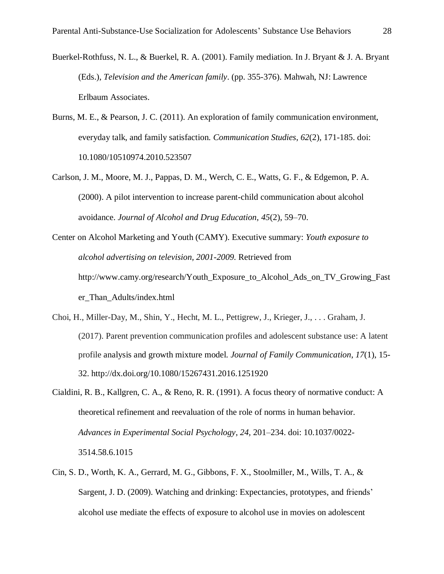- Buerkel-Rothfuss, N. L., & Buerkel, R. A. (2001). Family mediation. In J. Bryant & J. A. Bryant (Eds.), *Television and the American family*. (pp. 355-376). Mahwah, NJ: Lawrence Erlbaum Associates.
- Burns, M. E., & Pearson, J. C. (2011). An exploration of family communication environment, everyday talk, and family satisfaction. *Communication Studies*, *62*(2), 171-185. doi: 10.1080/10510974.2010.523507
- Carlson, J. M., Moore, M. J., Pappas, D. M., Werch, C. E., Watts, G. F., & Edgemon, P. A. (2000). A pilot intervention to increase parent-child communication about alcohol avoidance. *Journal of Alcohol and Drug Education*, *45*(2), 59–70.
- Center on Alcohol Marketing and Youth (CAMY). Executive summary: *Youth exposure to alcohol advertising on television, 2001-2009.* Retrieved from http://www.camy.org/research/Youth\_Exposure\_to\_Alcohol\_Ads\_on\_TV\_Growing\_Fast er\_Than\_Adults/index.html
- Choi, H., Miller-Day, M., Shin, Y., Hecht, M. L., Pettigrew, J., Krieger, J., . . . Graham, J. (2017). Parent prevention communication profiles and adolescent substance use: A latent profile analysis and growth mixture model. *Journal of Family Communication*, *17*(1), 15- 32. http://dx.doi.org/10.1080/15267431.2016.1251920
- Cialdini, R. B., Kallgren, C. A., & Reno, R. R. (1991). A focus theory of normative conduct: A theoretical refinement and reevaluation of the role of norms in human behavior. *Advances in Experimental Social Psychology*, *24,* 201–234. doi: 10.1037/0022- 3514.58.6.1015
- Cin, S. D., Worth, K. A., Gerrard, M. G., Gibbons, F. X., Stoolmiller, M., Wills, T. A., & Sargent, J. D. (2009). Watching and drinking: Expectancies, prototypes, and friends' alcohol use mediate the effects of exposure to alcohol use in movies on adolescent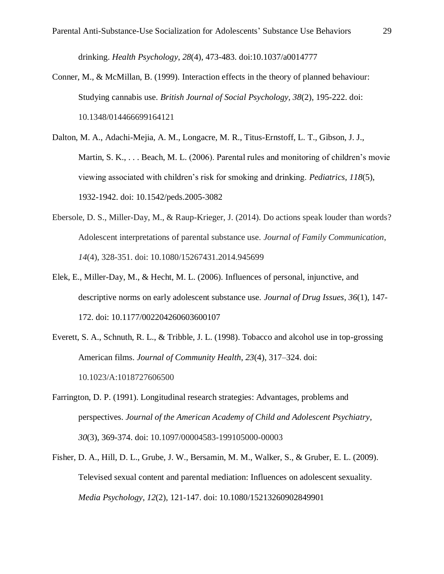drinking. *Health Psychology*, *28*(4), 473-483. doi:10.1037/a0014777

- Conner, M., & McMillan, B. (1999). Interaction effects in the theory of planned behaviour: Studying cannabis use. *British Journal of Social Psychology, 38*(2), 195-222. doi: 10.1348/014466699164121
- Dalton, M. A., Adachi-Mejia, A. M., Longacre, M. R., Titus-Ernstoff, L. T., Gibson, J. J., Martin, S. K., . . . Beach, M. L. (2006). Parental rules and monitoring of children's movie viewing associated with children's risk for smoking and drinking. *Pediatrics*, *118*(5), 1932-1942. doi: 10.1542/peds.2005-3082
- Ebersole, D. S., Miller-Day, M., & Raup-Krieger, J. (2014). Do actions speak louder than words? Adolescent interpretations of parental substance use. *Journal of Family Communication*, *14*(4), 328-351. doi: 10.1080/15267431.2014.945699
- Elek, E., Miller-Day, M., & Hecht, M. L. (2006). Influences of personal, injunctive, and descriptive norms on early adolescent substance use. *Journal of Drug Issues*, *36*(1), 147- 172. doi: 10.1177/002204260603600107
- Everett, S. A., Schnuth, R. L., & Tribble, J. L. (1998). Tobacco and alcohol use in top-grossing American films. *Journal of Community Health*, *23*(4), 317–324. doi: 10.1023/A:1018727606500
- Farrington, D. P. (1991). Longitudinal research strategies: Advantages, problems and perspectives. *Journal of the American Academy of Child and Adolescent Psychiatry*, *30*(3), 369-374. doi: 10.1097/00004583-199105000-00003
- Fisher, D. A., Hill, D. L., Grube, J. W., Bersamin, M. M., Walker, S., & Gruber, E. L. (2009). Televised sexual content and parental mediation: Influences on adolescent sexuality. *Media Psychology*, *12*(2), 121-147. doi: 10.1080/15213260902849901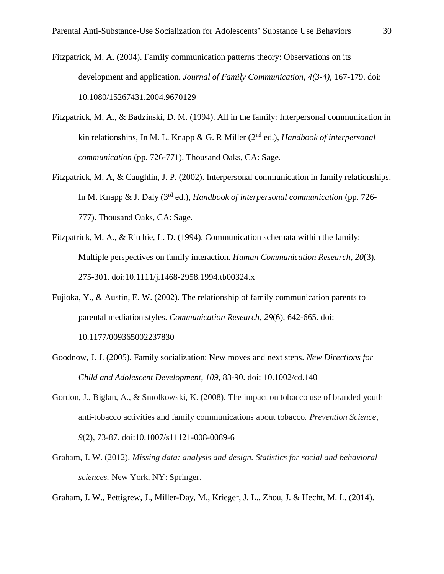- Fitzpatrick, M. A. (2004). Family communication patterns theory: Observations on its development and application. *Journal of Family Communication, 4(3-4),* 167-179. doi: 10.1080/15267431.2004.9670129
- Fitzpatrick, M. A., & Badzinski, D. M. (1994). All in the family: Interpersonal communication in kin relationships, In M. L. Knapp & G. R Miller (2<sup>nd</sup> ed.), *Handbook of interpersonal communication* (pp. 726-771). Thousand Oaks, CA: Sage.
- Fitzpatrick, M. A, & Caughlin, J. P. (2002). Interpersonal communication in family relationships. In M. Knapp & J. Daly (3rd ed.), *Handbook of interpersonal communication* (pp. 726- 777). Thousand Oaks, CA: Sage.
- Fitzpatrick, M. A., & Ritchie, L. D. (1994). Communication schemata within the family: Multiple perspectives on family interaction. *Human Communication Research*, *20*(3), 275-301. doi:10.1111/j.1468-2958.1994.tb00324.x
- Fujioka, Y., & Austin, E. W. (2002). The relationship of family communication parents to parental mediation styles. *Communication Research*, *29*(6), 642-665. doi: 10.1177/009365002237830
- Goodnow, J. J. (2005). Family socialization: New moves and next steps. *New Directions for Child and Adolescent Development*, *109*, 83-90. doi: 10.1002/cd.140
- Gordon, J., Biglan, A., & Smolkowski, K. (2008). The impact on tobacco use of branded youth anti-tobacco activities and family communications about tobacco. *Prevention Science*, *9*(2), 73-87. doi:10.1007/s11121-008-0089-6
- Graham, J. W. (2012). *Missing data: analysis and design. Statistics for social and behavioral sciences.* New York, NY: Springer.

Graham, J. W., Pettigrew, J., Miller-Day, M., Krieger, J. L., Zhou, J. & Hecht, M. L. (2014).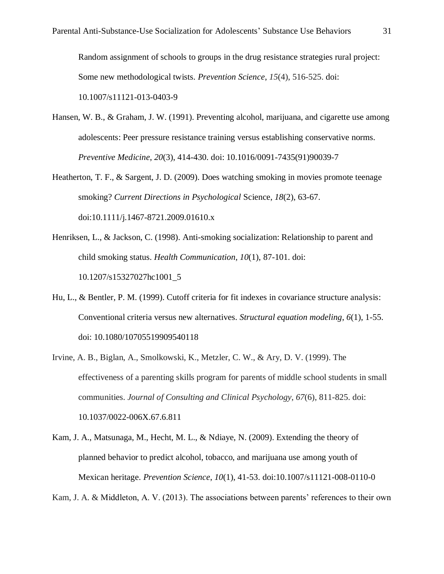Random assignment of schools to groups in the drug resistance strategies rural project: Some new methodological twists. *Prevention Science*, *15*(4), 516-525. doi: 10.1007/s11121-013-0403-9

- Hansen, W. B., & Graham, J. W. (1991). Preventing alcohol, marijuana, and cigarette use among adolescents: Peer pressure resistance training versus establishing conservative norms. *Preventive Medicine*, *20*(3), 414-430. doi: 10.1016/0091-7435(91)90039-7
- Heatherton, T. F., & Sargent, J. D. (2009). Does watching smoking in movies promote teenage smoking? *Current Directions in Psychological* Science, *18*(2), 63-67. doi:10.1111/j.1467-8721.2009.01610.x
- Henriksen, L., & Jackson, C. (1998). Anti-smoking socialization: Relationship to parent and child smoking status. *Health Communication*, *10*(1), 87-101. doi: 10.1207/s15327027hc1001\_5
- Hu, L., & Bentler, P. M. (1999). Cutoff criteria for fit indexes in covariance structure analysis: Conventional criteria versus new alternatives. *Structural equation modeling*, *6*(1), 1-55. doi: 10.1080/10705519909540118
- Irvine, A. B., Biglan, A., Smolkowski, K., Metzler, C. W., & Ary, D. V. (1999). The effectiveness of a parenting skills program for parents of middle school students in small communities. *Journal of Consulting and Clinical Psychology*, *67*(6), 811-825. doi: 10.1037/0022-006X.67.6.811
- Kam, J. A., Matsunaga, M., Hecht, M. L., & Ndiaye, N. (2009). Extending the theory of planned behavior to predict alcohol, tobacco, and marijuana use among youth of Mexican heritage. *Prevention Science*, *10*(1), 41-53. doi:10.1007/s11121-008-0110-0

Kam, J. A. & Middleton, A. V. (2013). The associations between parents' references to their own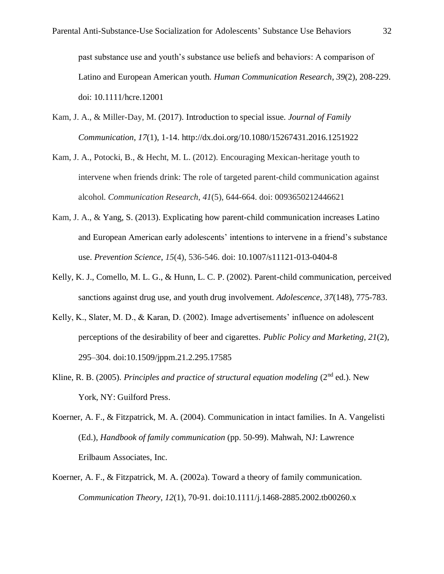past substance use and youth's substance use beliefs and behaviors: A comparison of Latino and European American youth. *Human Communication Research*, *39*(2), 208-229. doi: 10.1111/hcre.12001

- Kam, J. A., & Miller-Day, M. (2017). Introduction to special issue. *Journal of Family Communication*, *17*(1), 1-14. http://dx.doi.org/10.1080/15267431.2016.1251922
- Kam, J. A., Potocki, B., & Hecht, M. L. (2012). Encouraging Mexican-heritage youth to intervene when friends drink: The role of targeted parent-child communication against alcohol. *Communication Research*, *41*(5), 644-664. doi: 0093650212446621
- Kam, J. A., & Yang, S. (2013). Explicating how parent-child communication increases Latino and European American early adolescents' intentions to intervene in a friend's substance use. *Prevention Science*, *15*(4), 536-546. doi: 10.1007/s11121-013-0404-8
- Kelly, K. J., Comello, M. L. G., & Hunn, L. C. P. (2002). Parent-child communication, perceived sanctions against drug use, and youth drug involvement. *Adolescence*, *37*(148), 775-783.
- Kelly, K., Slater, M. D., & Karan, D. (2002). Image advertisements' influence on adolescent perceptions of the desirability of beer and cigarettes. *Public Policy and Marketing*, *21*(2), 295–304. doi:10.1509/jppm.21.2.295.17585
- Kline, R. B. (2005). *Principles and practice of structural equation modeling* (2<sup>nd</sup> ed.). New York, NY: Guilford Press.
- Koerner, A. F., & Fitzpatrick, M. A. (2004). Communication in intact families. In A. Vangelisti (Ed.), *Handbook of family communication* (pp. 50-99). Mahwah, NJ: Lawrence Erilbaum Associates, Inc.
- Koerner, A. F., & Fitzpatrick, M. A. (2002a). Toward a theory of family communication. *Communication Theory*, *12*(1), 70-91. doi:10.1111/j.1468-2885.2002.tb00260.x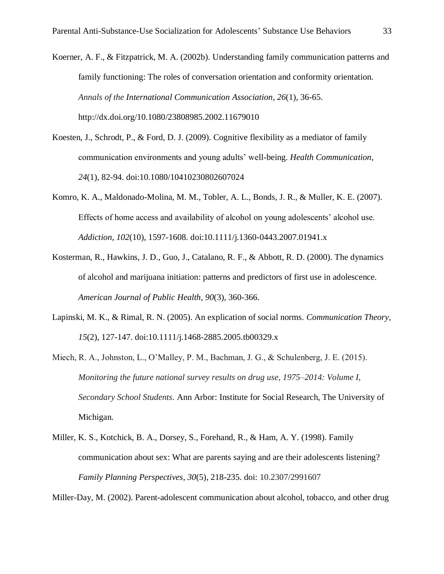Koerner, A. F., & Fitzpatrick, M. A. (2002b). Understanding family communication patterns and family functioning: The roles of conversation orientation and conformity orientation. *Annals of the International Communication Association*, *26*(1), 36-65. http://dx.doi.org/10.1080/23808985.2002.11679010

- Koesten, J., Schrodt, P., & Ford, D. J. (2009). Cognitive flexibility as a mediator of family communication environments and young adults' well-being. *Health Communication*, *24*(1), 82-94. doi:10.1080/10410230802607024
- Komro, K. A., Maldonado-Molina, M. M., Tobler, A. L., Bonds, J. R., & Muller, K. E. (2007). Effects of home access and availability of alcohol on young adolescents' alcohol use. *Addiction*, *102*(10), 1597-1608. doi:10.1111/j.1360-0443.2007.01941.x
- Kosterman, R., Hawkins, J. D., Guo, J., Catalano, R. F., & Abbott, R. D. (2000). The dynamics of alcohol and marijuana initiation: patterns and predictors of first use in adolescence. *American Journal of Public Health*, *90*(3), 360-366.
- Lapinski, M. K., & Rimal, R. N. (2005). An explication of social norms. *Communication Theory*, *15*(2), 127-147. doi:10.1111/j.1468-2885.2005.tb00329.x
- Miech, R. A., Johnston, L., O'Malley, P. M., Bachman, J. G., & Schulenberg, J. E. (2015). *Monitoring the future national survey results on drug use, 1975–2014: Volume I, Secondary School Students*. Ann Arbor: Institute for Social Research, The University of Michigan.
- Miller, K. S., Kotchick, B. A., Dorsey, S., Forehand, R., & Ham, A. Y. (1998). Family communication about sex: What are parents saying and are their adolescents listening? *Family Planning Perspectives*, *30*(5), 218-235. doi: 10.2307/2991607

Miller-Day, M. (2002). Parent-adolescent communication about alcohol, tobacco, and other drug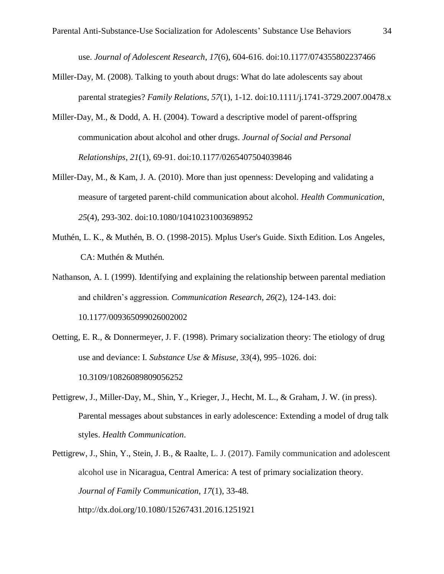use. *Journal of Adolescent Research*, *17*(6), 604-616. doi:10.1177/074355802237466

- Miller-Day, M. (2008). Talking to youth about drugs: What do late adolescents say about parental strategies? *Family Relations*, *57*(1), 1-12. doi:10.1111/j.1741-3729.2007.00478.x
- Miller-Day, M., & Dodd, A. H. (2004). Toward a descriptive model of parent-offspring communication about alcohol and other drugs. *Journal of Social and Personal Relationships*, *21*(1), 69-91. doi:10.1177/0265407504039846
- Miller-Day, M., & Kam, J. A. (2010). More than just openness: Developing and validating a measure of targeted parent-child communication about alcohol. *Health Communication*, *25*(4), 293-302. doi:10.1080/10410231003698952
- Muthén, L. K., & Muthén, B. O. (1998-2015). Mplus User's Guide. Sixth Edition. Los Angeles, CA: Muthén & Muthén.
- Nathanson, A. I. (1999). Identifying and explaining the relationship between parental mediation and children's aggression. *Communication Research*, *26*(2), 124-143. doi: 10.1177/009365099026002002
- Oetting, E. R., & Donnermeyer, J. F. (1998). Primary socialization theory: The etiology of drug use and deviance: I. *Substance Use & Misuse*, *33*(4), 995–1026. doi: 10.3109/10826089809056252
- Pettigrew, J., Miller-Day, M., Shin, Y., Krieger, J., Hecht, M. L., & Graham, J. W. (in press). Parental messages about substances in early adolescence: Extending a model of drug talk styles. *Health Communication*.
- Pettigrew, J., Shin, Y., Stein, J. B., & Raalte, L. J. (2017). Family communication and adolescent alcohol use in Nicaragua, Central America: A test of primary socialization theory. *Journal of Family Communication*, *17*(1), 33-48. http://dx.doi.org/10.1080/15267431.2016.1251921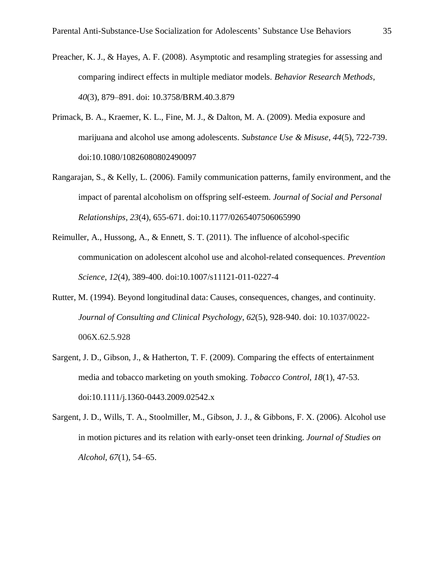- Preacher, K. J., & Hayes, A. F. (2008). Asymptotic and resampling strategies for assessing and comparing indirect effects in multiple mediator models. *Behavior Research Methods*, *40*(3), 879–891. doi: 10.3758/BRM.40.3.879
- Primack, B. A., Kraemer, K. L., Fine, M. J., & Dalton, M. A. (2009). Media exposure and marijuana and alcohol use among adolescents. *Substance Use & Misuse*, *44*(5), 722-739. doi:10.1080/10826080802490097
- Rangarajan, S., & Kelly, L. (2006). Family communication patterns, family environment, and the impact of parental alcoholism on offspring self-esteem. *Journal of Social and Personal Relationships*, *23*(4), 655-671. doi:10.1177/0265407506065990
- Reimuller, A., Hussong, A., & Ennett, S. T. (2011). The influence of alcohol-specific communication on adolescent alcohol use and alcohol-related consequences. *Prevention Science*, *12*(4), 389-400. doi:10.1007/s11121-011-0227-4
- Rutter, M. (1994). Beyond longitudinal data: Causes, consequences, changes, and continuity. *Journal of Consulting and Clinical Psychology*, *62*(5), 928-940. doi: 10.1037/0022- 006X.62.5.928
- Sargent, J. D., Gibson, J., & Hatherton, T. F. (2009). Comparing the effects of entertainment media and tobacco marketing on youth smoking. *Tobacco Control*, *18*(1), 47-53. doi:10.1111/j.1360-0443.2009.02542.x
- Sargent, J. D., Wills, T. A., Stoolmiller, M., Gibson, J. J., & Gibbons, F. X. (2006). Alcohol use in motion pictures and its relation with early-onset teen drinking. *Journal of Studies on Alcohol*, *67*(1), 54–65.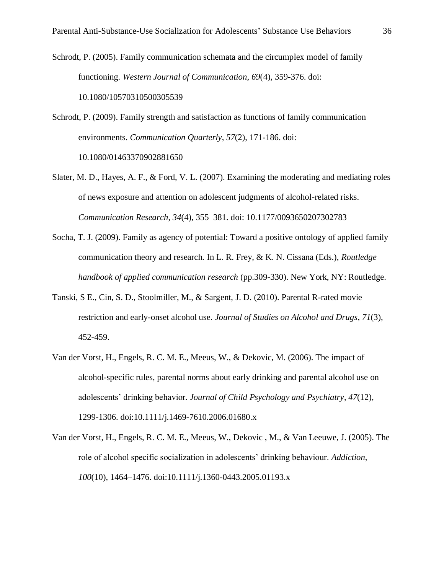Schrodt, P. (2005). Family communication schemata and the circumplex model of family functioning. *Western Journal of Communication*, *69*(4), 359-376. doi: 10.1080/10570310500305539

Schrodt, P. (2009). Family strength and satisfaction as functions of family communication environments. *Communication Quarterly*, *57*(2), 171-186. doi: 10.1080/01463370902881650

- Slater, M. D., Hayes, A. F., & Ford, V. L. (2007). Examining the moderating and mediating roles of news exposure and attention on adolescent judgments of alcohol-related risks. *Communication Research*, *34*(4), 355–381. doi: 10.1177/0093650207302783
- Socha, T. J. (2009). Family as agency of potential: Toward a positive ontology of applied family communication theory and research. In L. R. Frey, & K. N. Cissana (Eds.), *Routledge handbook of applied communication research* (pp.309-330). New York, NY: Routledge.
- Tanski, S E., Cin, S. D., Stoolmiller, M., & Sargent, J. D. (2010). Parental R-rated movie restriction and early-onset alcohol use. *Journal of Studies on Alcohol and Drugs*, *71*(3), 452-459.
- Van der Vorst, H., Engels, R. C. M. E., Meeus, W., & Dekovic, M. (2006). The impact of alcohol-specific rules, parental norms about early drinking and parental alcohol use on adolescents' drinking behavior*. Journal of Child Psychology and Psychiatry*, *47*(12), 1299-1306. doi:10.1111/j.1469-7610.2006.01680.x
- Van der Vorst, H., Engels, R. C. M. E., Meeus, W., Dekovic , M., & Van Leeuwe, J. (2005). The role of alcohol specific socialization in adolescents' drinking behaviour. *Addiction*, *100*(10), 1464–1476. doi:10.1111/j.1360-0443.2005.01193.x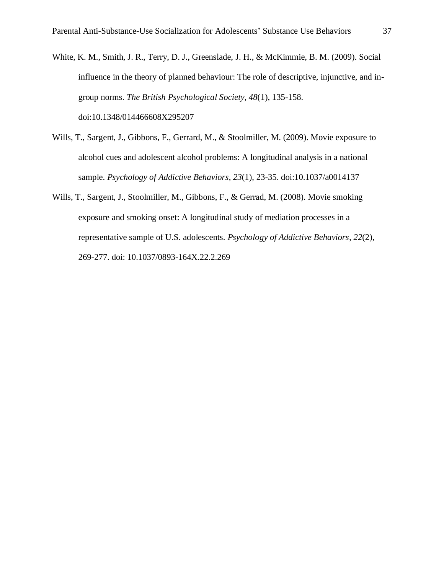- White, K. M., Smith, J. R., Terry, D. J., Greenslade, J. H., & McKimmie, B. M. (2009). Social influence in the theory of planned behaviour: The role of descriptive, injunctive, and ingroup norms. *The British Psychological Society*, *48*(1), 135-158. doi:10.1348/014466608X295207
- Wills, T., Sargent, J., Gibbons, F., Gerrard, M., & Stoolmiller, M. (2009). Movie exposure to alcohol cues and adolescent alcohol problems: A longitudinal analysis in a national sample. *Psychology of Addictive Behaviors*, *23*(1), 23-35. doi:10.1037/a0014137
- Wills, T., Sargent, J., Stoolmiller, M., Gibbons, F., & Gerrad, M. (2008). Movie smoking exposure and smoking onset: A longitudinal study of mediation processes in a representative sample of U.S. adolescents. *Psychology of Addictive Behaviors*, *22*(2), 269-277. doi: 10.1037/0893-164X.22.2.269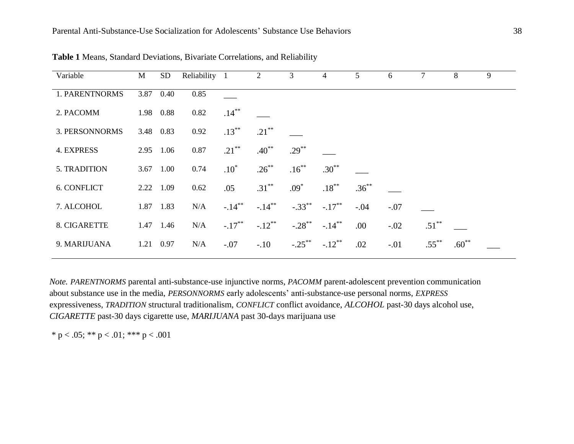| Variable           | M         | SD        | Reliability 1 |           | $\overline{2}$ | 3         | 4         | 5        | 6      | 7        | 8        | 9 |
|--------------------|-----------|-----------|---------------|-----------|----------------|-----------|-----------|----------|--------|----------|----------|---|
| 1. PARENTNORMS     | 3.87      | 0.40      | 0.85          |           |                |           |           |          |        |          |          |   |
| 2. PACOMM          |           | 1.98 0.88 | 0.82          | $.14***$  |                |           |           |          |        |          |          |   |
| 3. PERSONNORMS     |           | 3.48 0.83 | 0.92          | $.13***$  | $.21***$       |           |           |          |        |          |          |   |
| <b>4. EXPRESS</b>  | 2.95      | 1.06      | 0.87          | $.21***$  | $.40***$       | $.29***$  |           |          |        |          |          |   |
| 5. TRADITION       |           | 3.67 1.00 | 0.74          | $.10*$    | $.26***$       | $.16***$  | $.30**$   |          |        |          |          |   |
| <b>6. CONFLICT</b> | 2.22 1.09 |           | 0.62          | .05       | $.31***$       | $.09*$    | $.18***$  | $.36***$ |        |          |          |   |
| 7. ALCOHOL         |           | 1.87 1.83 | N/A           | $-.14***$ | $-.14***$      | $-.33***$ | $-.17***$ | $-.04$   | $-.07$ |          |          |   |
| 8. CIGARETTE       |           | 1.47 1.46 | N/A           | $-.17***$ | $-.12***$      | $-.28***$ | $-.14***$ | .00.     | $-.02$ | $.51***$ |          |   |
| 9. MARIJUANA       | 1.21      | 0.97      | N/A           | $-.07$    | $-.10$         | $-.25***$ | $-.12***$ | .02      | $-.01$ | $.55***$ | $.60***$ |   |

**Table 1** Means, Standard Deviations, Bivariate Correlations, and Reliability

*Note. PARENTNORMS* parental anti-substance-use injunctive norms, *PACOMM* parent-adolescent prevention communication about substance use in the media, *PERSONNORMS* early adolescents' anti-substance-use personal norms, *EXPRESS* expressiveness, *TRADITION* structural traditionalism, *CONFLICT* conflict avoidance, *ALCOHOL* past-30 days alcohol use, *CIGARETTE* past-30 days cigarette use, *MARIJUANA* past 30-days marijuana use

\* p < .05; \*\* p < .01; \*\*\* p < .001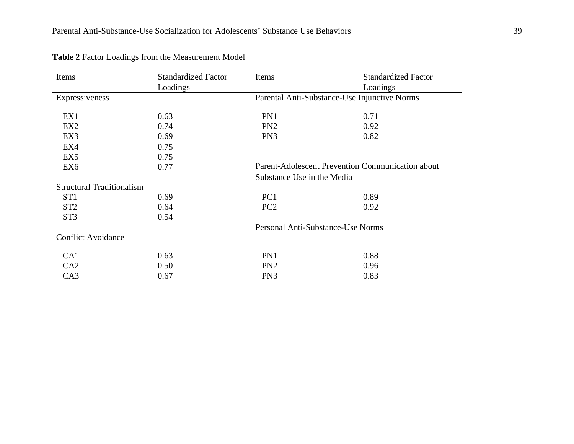| Items                            | <b>Standardized Factor</b> | Items                                                                          | <b>Standardized Factor</b> |  |  |  |
|----------------------------------|----------------------------|--------------------------------------------------------------------------------|----------------------------|--|--|--|
|                                  | Loadings                   |                                                                                | Loadings                   |  |  |  |
| Expressiveness                   |                            | Parental Anti-Substance-Use Injunctive Norms                                   |                            |  |  |  |
|                                  |                            |                                                                                |                            |  |  |  |
| EX1                              | 0.63                       | PN1                                                                            | 0.71                       |  |  |  |
| EX <sub>2</sub>                  | 0.74                       | PN <sub>2</sub>                                                                | 0.92                       |  |  |  |
| EX3                              | 0.69                       | PN <sub>3</sub>                                                                | 0.82                       |  |  |  |
| EX4                              | 0.75                       |                                                                                |                            |  |  |  |
| EX <sub>5</sub>                  | 0.75                       |                                                                                |                            |  |  |  |
| EX <sub>6</sub>                  | 0.77                       | Parent-Adolescent Prevention Communication about<br>Substance Use in the Media |                            |  |  |  |
|                                  |                            |                                                                                |                            |  |  |  |
| <b>Structural Traditionalism</b> |                            |                                                                                |                            |  |  |  |
| ST <sub>1</sub>                  | 0.69                       | PC <sub>1</sub>                                                                | 0.89                       |  |  |  |
| ST <sub>2</sub>                  | 0.64                       | PC <sub>2</sub>                                                                | 0.92                       |  |  |  |
| ST <sub>3</sub>                  | 0.54                       |                                                                                |                            |  |  |  |
|                                  |                            | Personal Anti-Substance-Use Norms                                              |                            |  |  |  |
| <b>Conflict Avoidance</b>        |                            |                                                                                |                            |  |  |  |
| CA1                              | 0.63                       | PN1                                                                            | 0.88                       |  |  |  |
| CA2                              | 0.50                       | PN <sub>2</sub>                                                                | 0.96                       |  |  |  |
| CA3                              | 0.67                       | PN <sub>3</sub>                                                                | 0.83                       |  |  |  |

**Table 2** Factor Loadings from the Measurement Model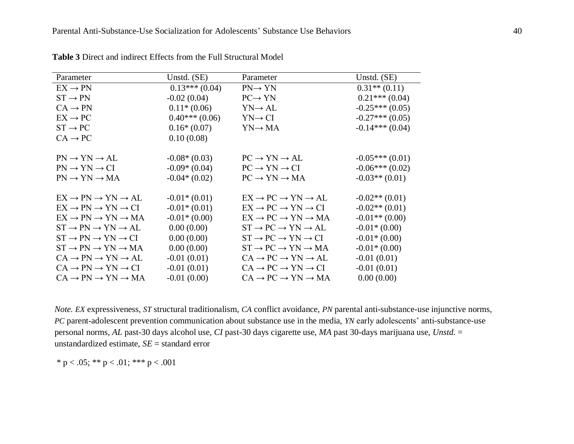| Parameter                                         | Unstd. (SE)     | Parameter                                         | Unstd. $(SE)$    |
|---------------------------------------------------|-----------------|---------------------------------------------------|------------------|
| $EX \rightarrow PN$                               | $0.13***(0.04)$ | $PN \rightarrow YN$                               | $0.31**$ (0.11)  |
| $ST \rightarrow PN$                               | $-0.02(0.04)$   | $PC \rightarrow YN$                               | $0.21***(0.04)$  |
| $CA \rightarrow PN$                               | $0.11*(0.06)$   | $YN \rightarrow AL$                               | $-0.25***(0.05)$ |
| $EX \rightarrow PC$                               | $0.40***(0.06)$ | $YN \rightarrow CI$                               | $-0.27***(0.05)$ |
| $ST \rightarrow PC$                               | $0.16*(0.07)$   | $YN \rightarrow MA$                               | $-0.14***(0.04)$ |
| $CA \rightarrow PC$                               | 0.10(0.08)      |                                                   |                  |
|                                                   |                 |                                                   |                  |
| $PN \rightarrow YN \rightarrow AL$                | $-0.08*(0.03)$  | $PC \rightarrow YN \rightarrow AL$                | $-0.05***(0.01)$ |
| $PN \rightarrow YN \rightarrow CI$                | $-0.09*(0.04)$  | $PC \rightarrow YN \rightarrow CI$                | $-0.06***(0.02)$ |
| $PN \rightarrow YN \rightarrow MA$                | $-0.04*(0.02)$  | $PC \rightarrow YN \rightarrow MA$                | $-0.03**$ (0.01) |
|                                                   |                 |                                                   |                  |
| $EX \rightarrow PN \rightarrow YN \rightarrow AL$ | $-0.01*(0.01)$  | $EX \rightarrow PC \rightarrow YN \rightarrow AL$ | $-0.02**$ (0.01) |
| $EX \rightarrow PN \rightarrow YN \rightarrow CI$ | $-0.01*(0.01)$  | $EX \rightarrow PC \rightarrow YN \rightarrow CI$ | $-0.02**$ (0.01) |
| $EX \rightarrow PN \rightarrow YN \rightarrow MA$ | $-0.01*(0.00)$  | $EX \rightarrow PC \rightarrow YN \rightarrow MA$ | $-0.01**$ (0.00) |
| $ST \rightarrow PN \rightarrow YN \rightarrow AL$ | 0.00(0.00)      | $ST \rightarrow PC \rightarrow YN \rightarrow AL$ | $-0.01*(0.00)$   |
| $ST \rightarrow PN \rightarrow YN \rightarrow CI$ | 0.00(0.00)      | $ST \rightarrow PC \rightarrow YN \rightarrow CI$ | $-0.01*(0.00)$   |
| $ST \rightarrow PN \rightarrow YN \rightarrow MA$ | 0.00(0.00)      | $ST \rightarrow PC \rightarrow YN \rightarrow MA$ | $-0.01*(0.00)$   |
| $CA \rightarrow PN \rightarrow YN \rightarrow AL$ | $-0.01(0.01)$   | $CA \rightarrow PC \rightarrow YN \rightarrow AL$ | $-0.01(0.01)$    |
| $CA \rightarrow PN \rightarrow YN \rightarrow CI$ | $-0.01(0.01)$   | $CA \rightarrow PC \rightarrow YN \rightarrow CI$ | $-0.01(0.01)$    |
| $CA \rightarrow PN \rightarrow YN \rightarrow MA$ | $-0.01(0.00)$   | $CA \rightarrow PC \rightarrow YN \rightarrow MA$ | 0.00(0.00)       |

**Table 3** Direct and indirect Effects from the Full Structural Model

*Note. EX* expressiveness, *ST* structural traditionalism, *CA* conflict avoidance, *PN* parental anti-substance-use injunctive norms, *PC* parent-adolescent prevention communication about substance use in the media, *YN* early adolescents' anti-substance-use personal norms, *AL* past-30 days alcohol use, *CI* past-30 days cigarette use, *MA* past 30-days marijuana use, *Unstd.* = unstandardized estimate, *SE* = standard error

\* p < .05; \*\* p < .01; \*\*\* p < .001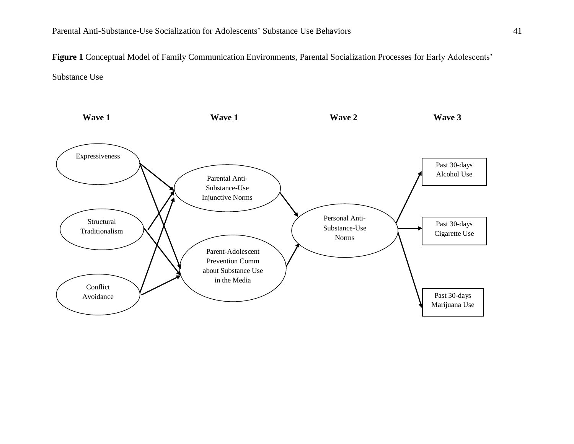**Figure 1** Conceptual Model of Family Communication Environments, Parental Socialization Processes for Early Adolescents' Substance Use